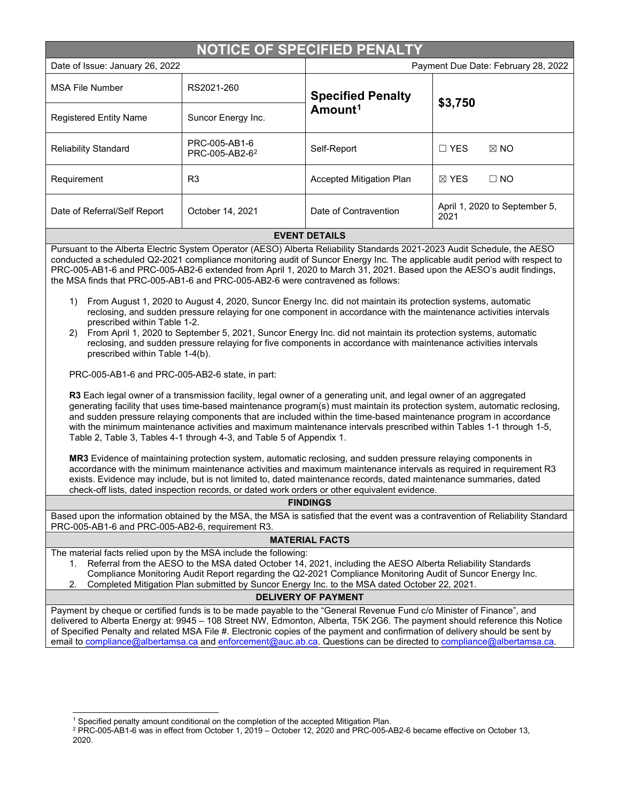| <b>NOTICE OF SPECIFIED PENALTY</b>                                                                                                                                                                                                                                                                                                                                                                                                                                                                                                                                                                                                                                                                                                                                                                                                                                                                                                                                                                                                                                                                                                                                                                                                                                                                                                                                                                                                                                                                                                                                                                                                             |                                             |                                                 |                                       |  |
|------------------------------------------------------------------------------------------------------------------------------------------------------------------------------------------------------------------------------------------------------------------------------------------------------------------------------------------------------------------------------------------------------------------------------------------------------------------------------------------------------------------------------------------------------------------------------------------------------------------------------------------------------------------------------------------------------------------------------------------------------------------------------------------------------------------------------------------------------------------------------------------------------------------------------------------------------------------------------------------------------------------------------------------------------------------------------------------------------------------------------------------------------------------------------------------------------------------------------------------------------------------------------------------------------------------------------------------------------------------------------------------------------------------------------------------------------------------------------------------------------------------------------------------------------------------------------------------------------------------------------------------------|---------------------------------------------|-------------------------------------------------|---------------------------------------|--|
| Date of Issue: January 26, 2022                                                                                                                                                                                                                                                                                                                                                                                                                                                                                                                                                                                                                                                                                                                                                                                                                                                                                                                                                                                                                                                                                                                                                                                                                                                                                                                                                                                                                                                                                                                                                                                                                |                                             | Payment Due Date: February 28, 2022             |                                       |  |
| <b>MSA File Number</b>                                                                                                                                                                                                                                                                                                                                                                                                                                                                                                                                                                                                                                                                                                                                                                                                                                                                                                                                                                                                                                                                                                                                                                                                                                                                                                                                                                                                                                                                                                                                                                                                                         | RS2021-260                                  | <b>Specified Penalty</b><br>Amount <sup>1</sup> | \$3,750                               |  |
| <b>Registered Entity Name</b>                                                                                                                                                                                                                                                                                                                                                                                                                                                                                                                                                                                                                                                                                                                                                                                                                                                                                                                                                                                                                                                                                                                                                                                                                                                                                                                                                                                                                                                                                                                                                                                                                  | Suncor Energy Inc.                          |                                                 |                                       |  |
| <b>Reliability Standard</b>                                                                                                                                                                                                                                                                                                                                                                                                                                                                                                                                                                                                                                                                                                                                                                                                                                                                                                                                                                                                                                                                                                                                                                                                                                                                                                                                                                                                                                                                                                                                                                                                                    | PRC-005-AB1-6<br>PRC-005-AB2-6 <sup>2</sup> | Self-Report                                     | $\boxtimes$ NO<br>$\Box$ YES          |  |
| Requirement                                                                                                                                                                                                                                                                                                                                                                                                                                                                                                                                                                                                                                                                                                                                                                                                                                                                                                                                                                                                                                                                                                                                                                                                                                                                                                                                                                                                                                                                                                                                                                                                                                    | R <sub>3</sub>                              | Accepted Mitigation Plan                        | $\Box$ NO<br>$\boxtimes$ YES          |  |
| Date of Referral/Self Report                                                                                                                                                                                                                                                                                                                                                                                                                                                                                                                                                                                                                                                                                                                                                                                                                                                                                                                                                                                                                                                                                                                                                                                                                                                                                                                                                                                                                                                                                                                                                                                                                   | October 14, 2021                            | Date of Contravention                           | April 1, 2020 to September 5,<br>2021 |  |
|                                                                                                                                                                                                                                                                                                                                                                                                                                                                                                                                                                                                                                                                                                                                                                                                                                                                                                                                                                                                                                                                                                                                                                                                                                                                                                                                                                                                                                                                                                                                                                                                                                                |                                             | <b>EVENT DETAILS</b>                            |                                       |  |
| Pursuant to the Alberta Electric System Operator (AESO) Alberta Reliability Standards 2021-2023 Audit Schedule, the AESO<br>conducted a scheduled Q2-2021 compliance monitoring audit of Suncor Energy Inc. The applicable audit period with respect to<br>PRC-005-AB1-6 and PRC-005-AB2-6 extended from April 1, 2020 to March 31, 2021. Based upon the AESO's audit findings,<br>the MSA finds that PRC-005-AB1-6 and PRC-005-AB2-6 were contravened as follows:                                                                                                                                                                                                                                                                                                                                                                                                                                                                                                                                                                                                                                                                                                                                                                                                                                                                                                                                                                                                                                                                                                                                                                             |                                             |                                                 |                                       |  |
| From August 1, 2020 to August 4, 2020, Suncor Energy Inc. did not maintain its protection systems, automatic<br>1)<br>reclosing, and sudden pressure relaying for one component in accordance with the maintenance activities intervals<br>prescribed within Table 1-2.<br>From April 1, 2020 to September 5, 2021, Suncor Energy Inc. did not maintain its protection systems, automatic<br>2)<br>reclosing, and sudden pressure relaying for five components in accordance with maintenance activities intervals<br>prescribed within Table 1-4(b).<br>PRC-005-AB1-6 and PRC-005-AB2-6 state, in part:<br>R3 Each legal owner of a transmission facility, legal owner of a generating unit, and legal owner of an aggregated<br>generating facility that uses time-based maintenance program(s) must maintain its protection system, automatic reclosing,<br>and sudden pressure relaying components that are included within the time-based maintenance program in accordance<br>with the minimum maintenance activities and maximum maintenance intervals prescribed within Tables 1-1 through 1-5,<br>Table 2, Table 3, Tables 4-1 through 4-3, and Table 5 of Appendix 1.<br>MR3 Evidence of maintaining protection system, automatic reclosing, and sudden pressure relaying components in<br>accordance with the minimum maintenance activities and maximum maintenance intervals as required in requirement R3<br>exists. Evidence may include, but is not limited to, dated maintenance records, dated maintenance summaries, dated<br>check-off lists, dated inspection records, or dated work orders or other equivalent evidence. |                                             |                                                 |                                       |  |
| <b>FINDINGS</b>                                                                                                                                                                                                                                                                                                                                                                                                                                                                                                                                                                                                                                                                                                                                                                                                                                                                                                                                                                                                                                                                                                                                                                                                                                                                                                                                                                                                                                                                                                                                                                                                                                |                                             |                                                 |                                       |  |
| Based upon the information obtained by the MSA, the MSA is satisfied that the event was a contravention of Reliability Standard<br>PRC-005-AB1-6 and PRC-005-AB2-6, requirement R3.                                                                                                                                                                                                                                                                                                                                                                                                                                                                                                                                                                                                                                                                                                                                                                                                                                                                                                                                                                                                                                                                                                                                                                                                                                                                                                                                                                                                                                                            |                                             |                                                 |                                       |  |
| <b>MATERIAL FACTS</b>                                                                                                                                                                                                                                                                                                                                                                                                                                                                                                                                                                                                                                                                                                                                                                                                                                                                                                                                                                                                                                                                                                                                                                                                                                                                                                                                                                                                                                                                                                                                                                                                                          |                                             |                                                 |                                       |  |
| The material facts relied upon by the MSA include the following:<br>Referral from the AESO to the MSA dated October 14, 2021, including the AESO Alberta Reliability Standards<br>1.<br>Compliance Monitoring Audit Report regarding the Q2-2021 Compliance Monitoring Audit of Suncor Energy Inc.<br>Completed Mitigation Plan submitted by Suncor Energy Inc. to the MSA dated October 22, 2021.<br>2.                                                                                                                                                                                                                                                                                                                                                                                                                                                                                                                                                                                                                                                                                                                                                                                                                                                                                                                                                                                                                                                                                                                                                                                                                                       |                                             |                                                 |                                       |  |
| <b>DELIVERY OF PAYMENT</b>                                                                                                                                                                                                                                                                                                                                                                                                                                                                                                                                                                                                                                                                                                                                                                                                                                                                                                                                                                                                                                                                                                                                                                                                                                                                                                                                                                                                                                                                                                                                                                                                                     |                                             |                                                 |                                       |  |
| Payment by cheque or certified funds is to be made payable to the "General Revenue Fund c/o Minister of Finance", and<br>delivered to Alberta Energy at: 9945 - 108 Street NW, Edmonton, Alberta, T5K 2G6. The payment should reference this Notice<br>of Specified Penalty and related MSA File #. Electronic copies of the payment and confirmation of delivery should be sent by<br>email to compliance@albertamsa.ca and enforcement@auc.ab.ca. Questions can be directed to compliance@albertamsa.ca.                                                                                                                                                                                                                                                                                                                                                                                                                                                                                                                                                                                                                                                                                                                                                                                                                                                                                                                                                                                                                                                                                                                                     |                                             |                                                 |                                       |  |

<span id="page-0-0"></span> $1$  Specified penalty amount conditional on the completion of the accepted Mitigation Plan.

<span id="page-0-1"></span> $^2$  PRC-005-AB1-6 was in effect from October 1, 2019 – October 12, 2020 and PRC-005-AB2-6 became effective on October 13, 2020.